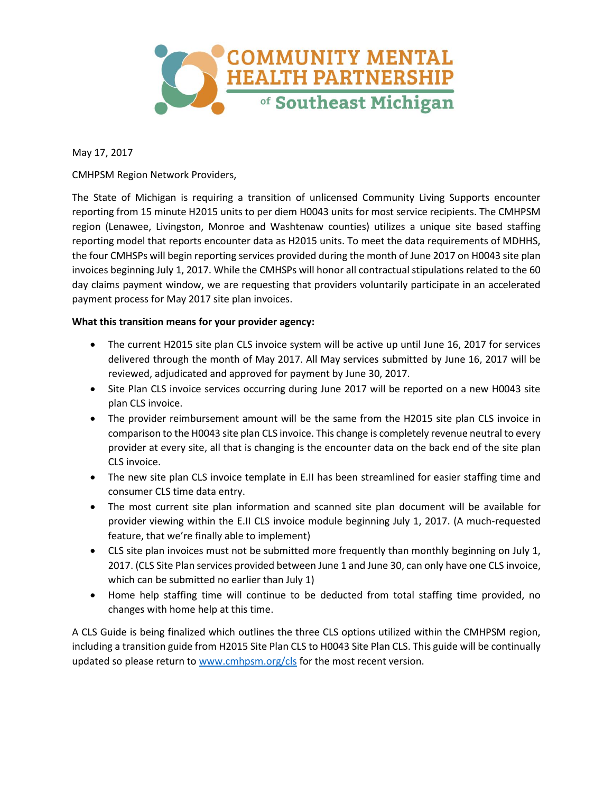

May 17, 2017

CMHPSM Region Network Providers,

The State of Michigan is requiring a transition of unlicensed Community Living Supports encounter reporting from 15 minute H2015 units to per diem H0043 units for most service recipients. The CMHPSM region (Lenawee, Livingston, Monroe and Washtenaw counties) utilizes a unique site based staffing reporting model that reports encounter data as H2015 units. To meet the data requirements of MDHHS, the four CMHSPs will begin reporting services provided during the month of June 2017 on H0043 site plan invoices beginning July 1, 2017. While the CMHSPs will honor all contractual stipulations related to the 60 day claims payment window, we are requesting that providers voluntarily participate in an accelerated payment process for May 2017 site plan invoices.

## **What this transition means for your provider agency:**

- The current H2015 site plan CLS invoice system will be active up until June 16, 2017 for services delivered through the month of May 2017. All May services submitted by June 16, 2017 will be reviewed, adjudicated and approved for payment by June 30, 2017.
- Site Plan CLS invoice services occurring during June 2017 will be reported on a new H0043 site plan CLS invoice.
- The provider reimbursement amount will be the same from the H2015 site plan CLS invoice in comparison to the H0043 site plan CLS invoice. This change is completely revenue neutral to every provider at every site, all that is changing is the encounter data on the back end of the site plan CLS invoice.
- The new site plan CLS invoice template in E.II has been streamlined for easier staffing time and consumer CLS time data entry.
- The most current site plan information and scanned site plan document will be available for provider viewing within the E.II CLS invoice module beginning July 1, 2017. (A much-requested feature, that we're finally able to implement)
- CLS site plan invoices must not be submitted more frequently than monthly beginning on July 1, 2017. (CLS Site Plan services provided between June 1 and June 30, can only have one CLS invoice, which can be submitted no earlier than July 1)
- Home help staffing time will continue to be deducted from total staffing time provided, no changes with home help at this time.

A CLS Guide is being finalized which outlines the three CLS options utilized within the CMHPSM region, including a transition guide from H2015 Site Plan CLS to H0043 Site Plan CLS. This guide will be continually updated so please return to [www.cmhpsm.org/cls](http://www.cmhpsm.org/cls) for the most recent version.